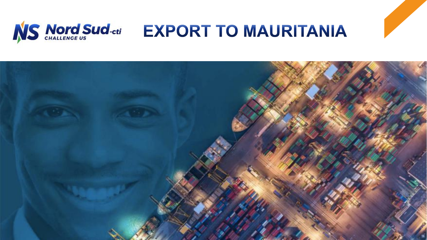

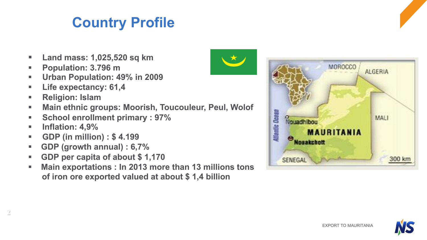EXPORT TO MAURITANIA

### **Country Profile**

- § **Land mass: 1,025,520 sq km**
- § **Population: 3.796 m**
- § **Urban Population: 49% in 2009**
- § **Life expectancy: 61,4**
- § **Religion: Islam**
- § **Main ethnic groups: Moorish, Toucouleur, Peul, Wolof**
- § **School enrollment primary : 97%**
- **Inflation: 4.9%**
- § **GDP (in million) : \$ 4.199**
- § **GDP (growth annual) : 6,7%**
- § **GDP per capita of about \$ 1,170**
- § **Main exportations : In 2013 more than 13 millions tons of iron ore exported valued at about \$ 1,4 billion**







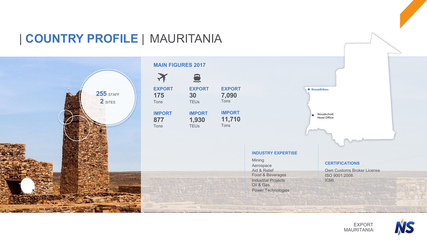### | **COUNTRY PROFILE** | MAURITANIA



#### **MAIN FIGURES 2017**





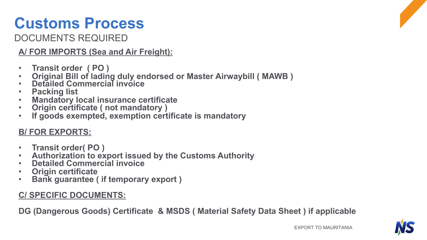# **Customs Process**

DOCUMENTS REQUIRED

**A/ FOR IMPORTS (Sea and Air Freight):** 

- 
- Transit order (PO)<br>• Original Bill of lading duly endorsed or Master Airwaybill ( MAWB)<br>• Detailed Commercial invoice<br>• Packing list<br>• Mandatory local insurance certificate<br>• Origin certificate ( not mandatory )<br>• If goo
- 
- 
- 
- 
- 

#### **B/ FOR EXPORTS:**

- 
- **Transit order( PO ) Authorization to export issued by the Customs Authority Detailed Commercial invoice Origin certificate Bank guarantee ( if temporary export )**
- 
- 
- 

#### **C/ SPECIFIC DOCUMENTS:**

**DG (Dangerous Goods) Certificate & MSDS ( Material Safety Data Sheet ) if applicable** 

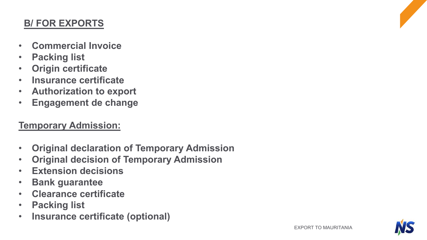#### **B/ FOR EXPORTS**

- **Commercial Invoice**
- **Packing list**
- **Origin certificate**
- **Insurance certificate**
- **Authorization to export**
- **Engagement de change**

#### **Temporary Admission:**

- **Original declaration of Temporary Admission**
- **Original decision of Temporary Admission**
- **Extension decisions**
- **Bank guarantee**
- **Clearance certificate**
- **Packing list**
- **Insurance certificate (optional)**

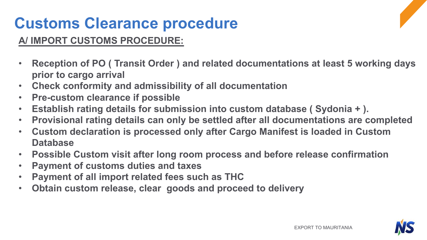# **Customs Clearance procedure**

### **A/ IMPORT CUSTOMS PROCEDURE:**

- **Reception of PO ( Transit Order ) and related documentations at least 5 working days prior to cargo arrival**
- **Check conformity and admissibility of all documentation**
- **Pre-custom clearance if possible**
- **Establish rating details for submission into custom database ( Sydonia + ).**
- **Provisional rating details can only be settled after all documentations are completed**
- **Custom declaration is processed only after Cargo Manifest is loaded in Custom Database**
- **Possible Custom visit after long room process and before release confirmation**
- **Payment of customs duties and taxes**
- **Payment of all import related fees such as THC**
- **Obtain custom release, clear goods and proceed to delivery**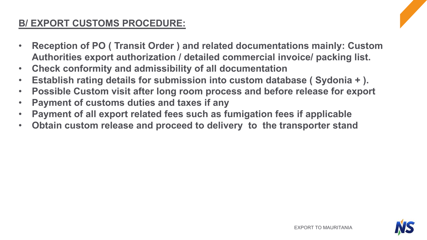#### **B/ EXPORT CUSTOMS PROCEDURE:**

- **Reception of PO ( Transit Order ) and related documentations mainly: Custom Authorities export authorization / detailed commercial invoice/ packing list.**
- **Check conformity and admissibility of all documentation**
- **Establish rating details for submission into custom database ( Sydonia + ).**
- **Possible Custom visit after long room process and before release for export**
- **Payment of customs duties and taxes if any**
- **Payment of all export related fees such as fumigation fees if applicable**
- **Obtain custom release and proceed to delivery to the transporter stand**

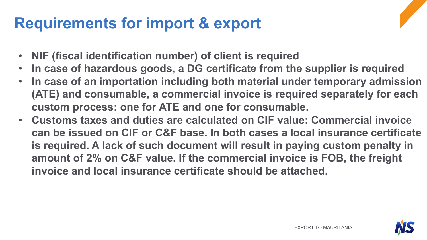### **Requirements for import & export**



- **In case of hazardous goods, a DG certificate from the supplier is required**
- **In case of an importation including both material under temporary admission (ATE) and consumable, a commercial invoice is required separately for each custom process: one for ATE and one for consumable.**
- **Customs taxes and duties are calculated on CIF value: Commercial invoice can be issued on CIF or C&F base. In both cases a local insurance certificate is required. A lack of such document will result in paying custom penalty in amount of 2% on C&F value. If the commercial invoice is FOB, the freight invoice and local insurance certificate should be attached.**